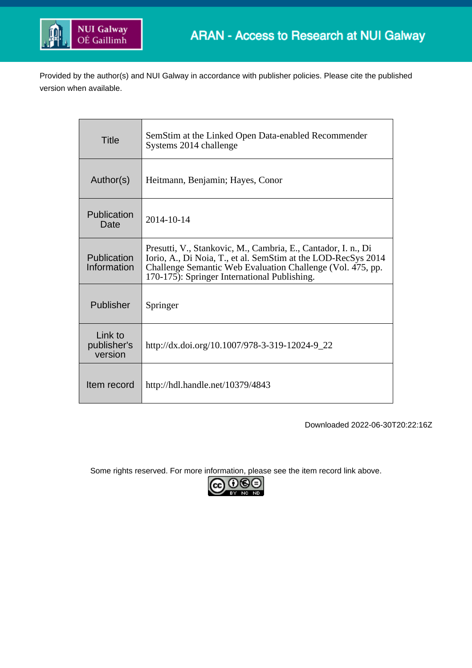

Provided by the author(s) and NUI Galway in accordance with publisher policies. Please cite the published version when available.

| <b>Title</b>                      | SemStim at the Linked Open Data-enabled Recommender<br>Systems 2014 challenge                                                                                                                                                                |
|-----------------------------------|----------------------------------------------------------------------------------------------------------------------------------------------------------------------------------------------------------------------------------------------|
| Author(s)                         | Heitmann, Benjamin; Hayes, Conor                                                                                                                                                                                                             |
| Publication<br>Date               | 2014-10-14                                                                                                                                                                                                                                   |
| Publication<br>Information        | Presutti, V., Stankovic, M., Cambria, E., Cantador, I. n., Di<br>Iorio, A., Di Noia, T., et al. SemStim at the LOD-RecSys 2014<br>Challenge Semantic Web Evaluation Challenge (Vol. 475, pp.<br>170-175): Springer International Publishing. |
| Publisher                         | Springer                                                                                                                                                                                                                                     |
| Link to<br>publisher's<br>version | http://dx.doi.org/10.1007/978-3-319-12024-9_22                                                                                                                                                                                               |
| Item record                       | http://hdl.handle.net/10379/4843                                                                                                                                                                                                             |

Downloaded 2022-06-30T20:22:16Z

Some rights reserved. For more information, please see the item record link above.

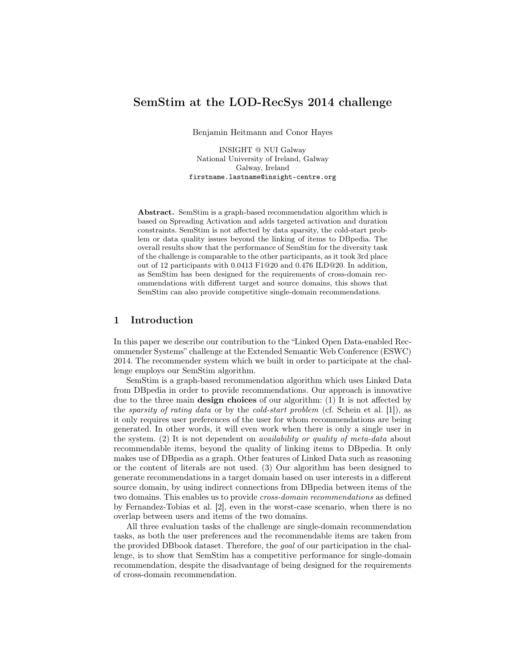# SemStim at the LOD-RecSys 2014 challenge

Benjamin Heitmann and Conor Hayes

INSIGHT @ NUI Galway National University of Ireland, Galway Galway, Ireland firstname.lastname@insight-centre.org

Abstract. SemStim is a graph-based recommendation algorithm which is based on Spreading Activation and adds targeted activation and duration constraints. SemStim is not affected by data sparsity, the cold-start problem or data quality issues beyond the linking of items to DBpedia. The overall results show that the performance of SemStim for the diversity task of the challenge is comparable to the other participants, as it took 3rd place out of 12 participants with 0.0413 F1@20 and 0.476 ILD@20. In addition, as SemStim has been designed for the requirements of cross-domain recommendations with different target and source domains, this shows that SemStim can also provide competitive single-domain recommendations.

# 1 Introduction

In this paper we describe our contribution to the "Linked Open Data-enabled Recommender Systems" challenge at the Extended Semantic Web Conference (ESWC) 2014. The recommender system which we built in order to participate at the challenge employs our SemStim algorithm.

SemStim is a graph-based recommendation algorithm which uses Linked Data from DBpedia in order to provide recommendations. Our approach is innovative due to the three main design choices of our algorithm: (1) It is not affected by the *sparsity of rating data* or by the *cold-start problem* (cf. Schein et al. [1]), as it only requires user preferences of the user for whom recommendations are being generated. In other words, it will even work when there is only a single user in the system. (2) It is not dependent on availability or quality of meta-data about recommendable items, beyond the quality of linking items to DBpedia. It only makes use of DBpedia as a graph. Other features of Linked Data such as reasoning or the content of literals are not used. (3) Our algorithm has been designed to generate recommendations in a target domain based on user interests in a different source domain, by using indirect connections from DBpedia between items of the two domains. This enables us to provide *cross-domain recommendations* as defined by Fernandez-Tobias et al. [2], even in the worst-case scenario, when there is no overlap between users and items of the two domains.

All three evaluation tasks of the challenge are single-domain recommendation tasks, as both the user preferences and the recommendable items are taken from the provided DBbook dataset. Therefore, the goal of our participation in the challenge, is to show that SemStim has a competitive performance for single-domain recommendation, despite the disadvantage of being designed for the requirements of cross-domain recommendation.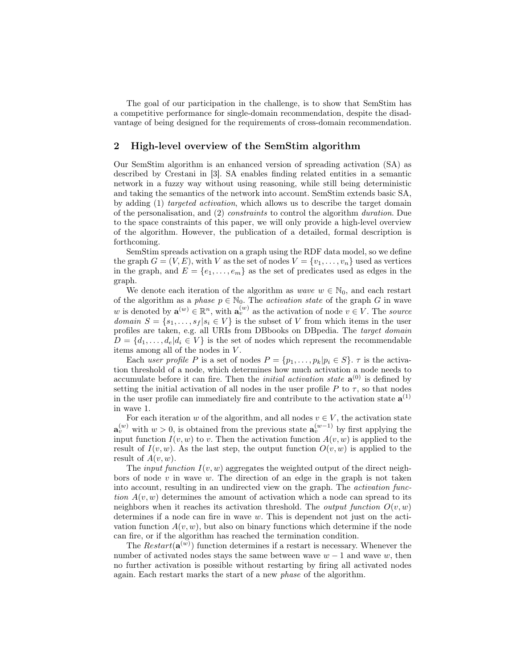The goal of our participation in the challenge, is to show that SemStim has a competitive performance for single-domain recommendation, despite the disadvantage of being designed for the requirements of cross-domain recommendation.

# 2 High-level overview of the SemStim algorithm

Our SemStim algorithm is an enhanced version of spreading activation (SA) as described by Crestani in [3]. SA enables finding related entities in a semantic network in a fuzzy way without using reasoning, while still being deterministic and taking the semantics of the network into account. SemStim extends basic SA, by adding (1) targeted activation, which allows us to describe the target domain of the personalisation, and (2) constraints to control the algorithm duration. Due to the space constraints of this paper, we will only provide a high-level overview of the algorithm. However, the publication of a detailed, formal description is forthcoming.

SemStim spreads activation on a graph using the RDF data model, so we define the graph  $G = (V, E)$ , with V as the set of nodes  $V = \{v_1, \ldots, v_n\}$  used as vertices in the graph, and  $E = \{e_1, \ldots, e_m\}$  as the set of predicates used as edges in the graph.

We denote each iteration of the algorithm as *wave*  $w \in \mathbb{N}_0$ , and each restart of the algorithm as a phase  $p \in \mathbb{N}_0$ . The activation state of the graph G in wave w is denoted by  $\mathbf{a}^{(w)} \in \mathbb{R}^n$ , with  $\mathbf{a}^{(w)}_v$  as the activation of node  $v \in V$ . The source domain  $S = \{s_1, \ldots, s_f | s_i \in V\}$  is the subset of V from which items in the user profiles are taken, e.g. all URIs from DBbooks on DBpedia. The target domain  $D = \{d_1, \ldots, d_e | d_i \in V\}$  is the set of nodes which represent the recommendable items among all of the nodes in  $V$ .

Each user profile P is a set of nodes  $P = \{p_1, \ldots, p_k | p_i \in S\}$ .  $\tau$  is the activation threshold of a node, which determines how much activation a node needs to accumulate before it can fire. Then the *initial activation state*  $a^{(0)}$  is defined by setting the initial activation of all nodes in the user profile  $P$  to  $\tau$ , so that nodes in the user profile can immediately fire and contribute to the activation state  $a^{(1)}$ in wave 1.

For each iteration w of the algorithm, and all nodes  $v \in V$ , the activation state  $\mathbf{a}_{v}^{(w)}$  with  $w > 0$ , is obtained from the previous state  $\mathbf{a}_{v}^{(w-1)}$  by first applying the input function  $I(v, w)$  to v. Then the activation function  $A(v, w)$  is applied to the result of  $I(v, w)$ . As the last step, the output function  $O(v, w)$  is applied to the result of  $A(v, w)$ .

The *input function*  $I(v, w)$  aggregates the weighted output of the direct neighbors of node  $v$  in wave  $w$ . The direction of an edge in the graph is not taken into account, resulting in an undirected view on the graph. The activation function  $A(v, w)$  determines the amount of activation which a node can spread to its neighbors when it reaches its activation threshold. The *output function*  $O(v, w)$ determines if a node can fire in wave  $w$ . This is dependent not just on the activation function  $A(v, w)$ , but also on binary functions which determine if the node can fire, or if the algorithm has reached the termination condition.

The  $Restart(\mathbf{a}^{(w)})$  function determines if a restart is necessary. Whenever the number of activated nodes stays the same between wave  $w - 1$  and wave w, then no further activation is possible without restarting by firing all activated nodes again. Each restart marks the start of a new phase of the algorithm.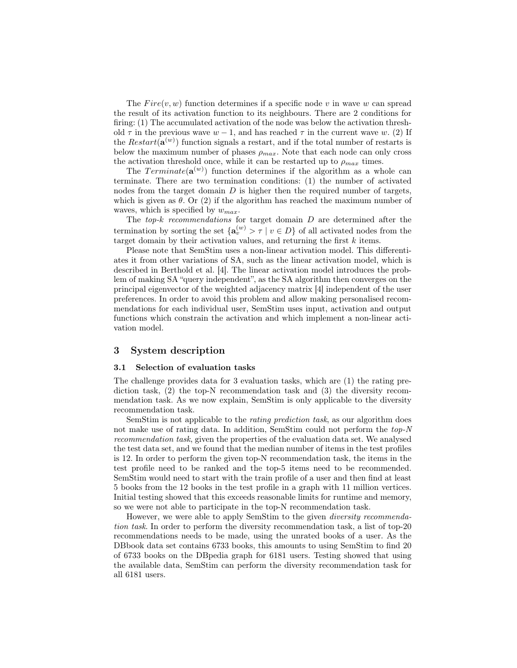The  $Fire(v, w)$  function determines if a specific node v in wave w can spread the result of its activation function to its neighbours. There are 2 conditions for firing: (1) The accumulated activation of the node was below the activation threshold  $\tau$  in the previous wave  $w - 1$ , and has reached  $\tau$  in the current wave w. (2) If the  $Restart(\mathbf{a}^{(w)})$  function signals a restart, and if the total number of restarts is below the maximum number of phases  $\rho_{max}$ . Note that each node can only cross the activation threshold once, while it can be restarted up to  $\rho_{max}$  times.

The  $Terminate(\mathbf{a}^{(w)})$  function determines if the algorithm as a whole can terminate. There are two termination conditions: (1) the number of activated nodes from the target domain  $D$  is higher then the required number of targets, which is given as  $\theta$ . Or (2) if the algorithm has reached the maximum number of waves, which is specified by  $w_{max}$ .

The  $top-k$  recommendations for target domain  $D$  are determined after the termination by sorting the set  $\{a_v^{(w)} > \tau \mid v \in D\}$  of all activated nodes from the target domain by their activation values, and returning the first  $k$  items.

Please note that SemStim uses a non-linear activation model. This differentiates it from other variations of SA, such as the linear activation model, which is described in Berthold et al. [4]. The linear activation model introduces the problem of making SA "query independent", as the SA algorithm then converges on the principal eigenvector of the weighted adjacency matrix [4] independent of the user preferences. In order to avoid this problem and allow making personalised recommendations for each individual user, SemStim uses input, activation and output functions which constrain the activation and which implement a non-linear activation model.

# 3 System description

### 3.1 Selection of evaluation tasks

The challenge provides data for 3 evaluation tasks, which are (1) the rating prediction task,  $(2)$  the top-N recommendation task and  $(3)$  the diversity recommendation task. As we now explain, SemStim is only applicable to the diversity recommendation task.

SemStim is not applicable to the rating prediction task, as our algorithm does not make use of rating data. In addition, SemStim could not perform the top-N recommendation task, given the properties of the evaluation data set. We analysed the test data set, and we found that the median number of items in the test profiles is 12. In order to perform the given top-N recommendation task, the items in the test profile need to be ranked and the top-5 items need to be recommended. SemStim would need to start with the train profile of a user and then find at least 5 books from the 12 books in the test profile in a graph with 11 million vertices. Initial testing showed that this exceeds reasonable limits for runtime and memory, so we were not able to participate in the top-N recommendation task.

However, we were able to apply SemStim to the given diversity recommendation task. In order to perform the diversity recommendation task, a list of top-20 recommendations needs to be made, using the unrated books of a user. As the DBbook data set contains 6733 books, this amounts to using SemStim to find 20 of 6733 books on the DBpedia graph for 6181 users. Testing showed that using the available data, SemStim can perform the diversity recommendation task for all 6181 users.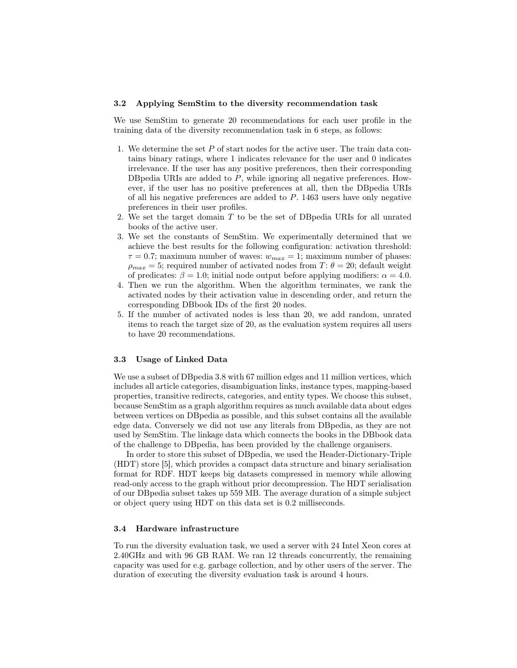### 3.2 Applying SemStim to the diversity recommendation task

We use SemStim to generate 20 recommendations for each user profile in the training data of the diversity recommendation task in 6 steps, as follows:

- 1. We determine the set P of start nodes for the active user. The train data contains binary ratings, where 1 indicates relevance for the user and 0 indicates irrelevance. If the user has any positive preferences, then their corresponding DBpedia URIs are added to P, while ignoring all negative preferences. However, if the user has no positive preferences at all, then the DBpedia URIs of all his negative preferences are added to P. 1463 users have only negative preferences in their user profiles.
- 2. We set the target domain T to be the set of DBpedia URIs for all unrated books of the active user.
- 3. We set the constants of SemStim. We experimentally determined that we achieve the best results for the following configuration: activation threshold:  $\tau = 0.7$ ; maximum number of waves:  $w_{max} = 1$ ; maximum number of phases:  $\rho_{max} = 5$ ; required number of activated nodes from  $T: \theta = 20$ ; default weight of predicates:  $\beta = 1.0$ ; initial node output before applying modifiers:  $\alpha = 4.0$ .
- 4. Then we run the algorithm. When the algorithm terminates, we rank the activated nodes by their activation value in descending order, and return the corresponding DBbook IDs of the first 20 nodes.
- 5. If the number of activated nodes is less than 20, we add random, unrated items to reach the target size of 20, as the evaluation system requires all users to have 20 recommendations.

#### 3.3 Usage of Linked Data

We use a subset of DBpedia 3.8 with 67 million edges and 11 million vertices, which includes all article categories, disambiguation links, instance types, mapping-based properties, transitive redirects, categories, and entity types. We choose this subset, because SemStim as a graph algorithm requires as much available data about edges between vertices on DBpedia as possible, and this subset contains all the available edge data. Conversely we did not use any literals from DBpedia, as they are not used by SemStim. The linkage data which connects the books in the DBbook data of the challenge to DBpedia, has been provided by the challenge organisers.

In order to store this subset of DBpedia, we used the Header-Dictionary-Triple (HDT) store [5], which provides a compact data structure and binary serialisation format for RDF. HDT keeps big datasets compressed in memory while allowing read-only access to the graph without prior decompression. The HDT serialisation of our DBpedia subset takes up 559 MB. The average duration of a simple subject or object query using HDT on this data set is 0.2 milliseconds.

### 3.4 Hardware infrastructure

To run the diversity evaluation task, we used a server with 24 Intel Xeon cores at 2.40GHz and with 96 GB RAM. We ran 12 threads concurrently, the remaining capacity was used for e.g. garbage collection, and by other users of the server. The duration of executing the diversity evaluation task is around 4 hours.